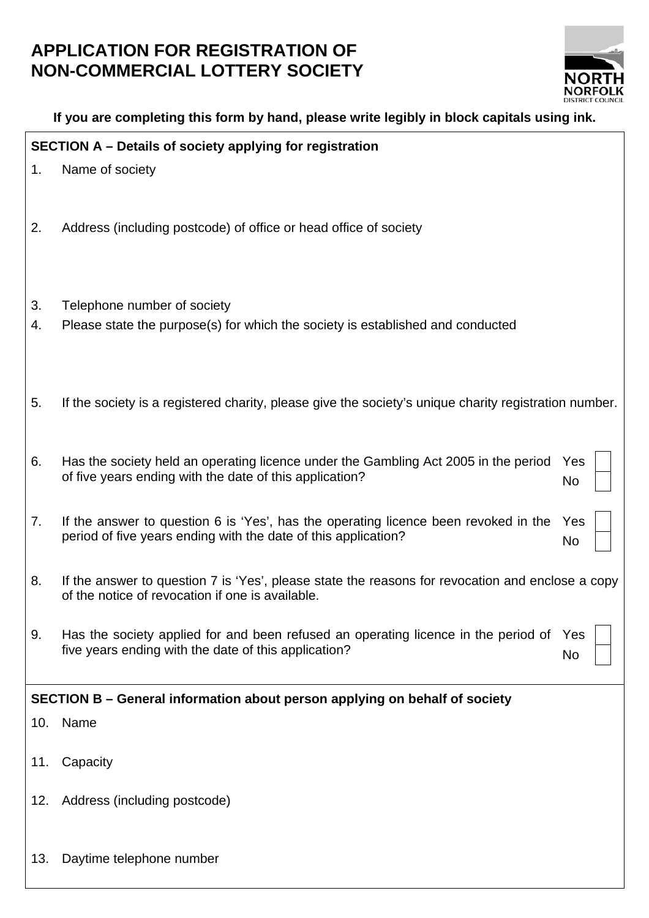## **APPLICATION FOR REGISTRATION OF NON-COMMERCIAL LOTTERY SOCIETY**



|                                                          | If you are completing this form by hand, please write legibly in block capitals using ink. |                                                                                                                                                       |           |
|----------------------------------------------------------|--------------------------------------------------------------------------------------------|-------------------------------------------------------------------------------------------------------------------------------------------------------|-----------|
| SECTION A - Details of society applying for registration |                                                                                            |                                                                                                                                                       |           |
|                                                          | 1.                                                                                         | Name of society                                                                                                                                       |           |
|                                                          | 2.                                                                                         | Address (including postcode) of office or head office of society                                                                                      |           |
|                                                          | 3.<br>4.                                                                                   | Telephone number of society<br>Please state the purpose(s) for which the society is established and conducted                                         |           |
|                                                          | 5.                                                                                         | If the society is a registered charity, please give the society's unique charity registration number.                                                 |           |
|                                                          | 6.                                                                                         | Has the society held an operating licence under the Gambling Act 2005 in the period<br>of five years ending with the date of this application?        | Yes<br>No |
|                                                          | 7.                                                                                         | If the answer to question 6 is 'Yes', has the operating licence been revoked in the<br>period of five years ending with the date of this application? | Yes<br>No |
|                                                          | 8.                                                                                         | If the answer to question 7 is 'Yes', please state the reasons for revocation and enclose a copy<br>of the notice of revocation if one is available.  |           |
|                                                          | 9.                                                                                         | Has the society applied for and been refused an operating licence in the period of<br>five years ending with the date of this application?            | Yes<br>No |
|                                                          | SECTION B – General information about person applying on behalf of society                 |                                                                                                                                                       |           |
|                                                          | 10.                                                                                        | Name                                                                                                                                                  |           |
|                                                          | 11.                                                                                        | Capacity                                                                                                                                              |           |
|                                                          | 12.                                                                                        | Address (including postcode)                                                                                                                          |           |
|                                                          | 13.                                                                                        | Daytime telephone number                                                                                                                              |           |